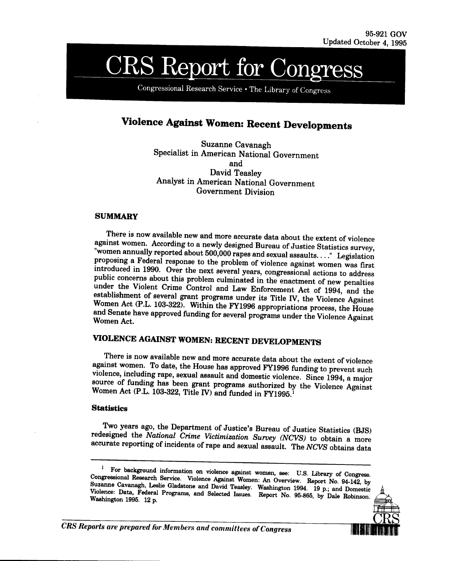# **CRS Report for Congress**

Congressional Research Service . The Library of Congress

# **Violence Against Women: Recent Developments**

Suzanne Cavanagh Specialist in American National Government and David Teasley Analyst in American National Government Government Division

## **SUMMARY**

There is now available new and more accurate data about the extent of violence<br>against women. According to a newly designed Bureau of Justice Statistics survey,<br>"women annually reported about 500,000 rapes and sexual assau

# **VIOLENCE AGAINST WOMEN: RECENT DEVELOPMENTS**

There is now available new and more accurate data about the extent of violence<br>against women. To date, the House has approved FY1996 funding to prevent such<br>violence, including rape, sexual assault and domestic violence. S

# **Statistics**

Two years ago, the Department of Justice's Bureau of Justice Statistics (BJS) redesigned the *National Crime Victimization Survey (NCVS)* to obtain a more accurate reporting of incidents of rape and sexual assault. The *NC* 

<sup>&</sup>lt;sup>1</sup> For background information on violence against women, see: U.S. Library of Congress.<br>Congressional Research Service. Violence Against Women: An Overview. Report No. 94-142, by Suzanne Cavanagh, Leslie Gladstone and Da



*CRS Reports are prepared for Members and committees of Congress*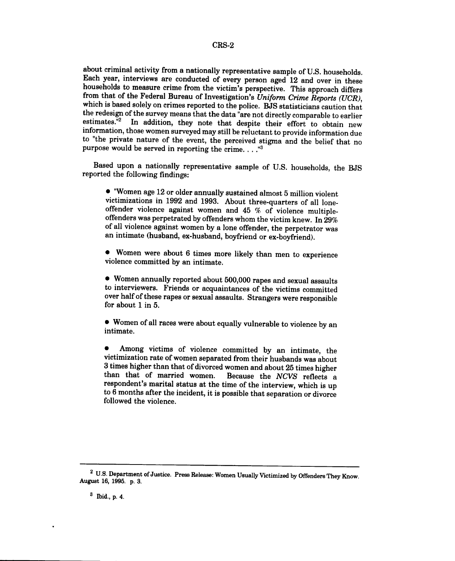#### **CRS-2**

about criminal activity from a nationally representative sample of U.S. households. Each year, interviews are conducted of every person aged 12 and over in these households to measure crime from the victim's perspective. This approach differs from that of the Federal Bureau of Investigation's Uniform Crime Reports (UCR), which is based solely on crimes reported to the police. BJS statisticians caution that the redesign of the survey means that the data "are not directly comparable to earlier estimates.<sup>"2</sup> In addition, they note that despite their effort to obtain new information, those women surveyed may still be reluctant to provide information due to "the private nature of the event, the perceived stigma and the belief that no purpose would be served in reporting the crime. . . ."

Based upon a nationally representative sample of U.S. households, the BJS reported the following findings:

\* "Women age 12 or older annually sustained almost 5 million violent victimizations in **1992** and **1993.** About three-quarters of all loneoffenders was perpetrated by offenders whom the victim knew. In 29% of all violence against women by a lone offender, the perpetrator was an intimate (husband, ex-husband, boyfriend or ex-boyfriend).

\* Women were about **6** times more likely than men to experience violence committed by an intimate.

\* Women annually reported about 500,000 rapes and sexual assaults to interviewers. Friends or acquaintances of the victims committed over half of these rapes or sexual assaults. Strangers were responsible for about **1** in 5.

• Women of all races were about equally vulnerable to violence by an intimate.

\* Among victims of violence committed by an intimate, the victimization rate of women separated from their husbands was about 3 times higher than that of divorced women and about 25 times higher than that of married women. Because the *NCVS* reflects a respondent's marital status at the time of the interview, which is up to 6 months after the incident, it is possible that separation or divorce followed the violence.

<sup>&</sup>lt;sup>2</sup> U.S. Department of Justice. Press Release: Women Usually Victimized by Offenders They Know. August 16, 1995. p. 3.

**<sup>3</sup>** Ibid., p. 4.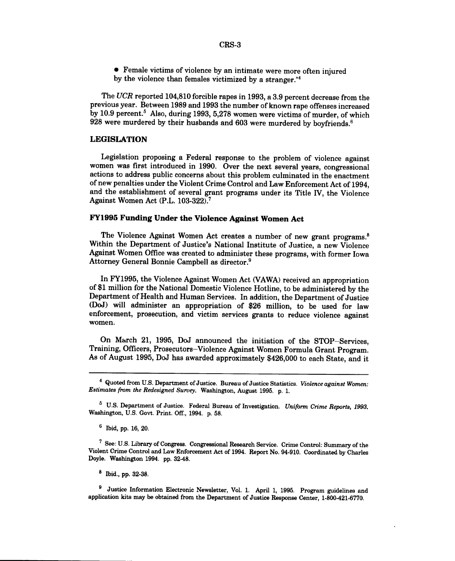\* Female victims of violence by an intimate were more often injured by the violence than females victimized by a stranger."4

The *UCR* reported 104,810 forcible rapes in 1993, a 3.9 percent decrease from the previous year. Between 1989 and 1993 the number of known rape offenses increased by 10.9 percent.<sup>5</sup> Also, during 1993, 5,278 women were victims of murder, of which 928 were murdered by their husbands and 603 were murdered by boyfriends.<sup>6</sup>

## **LEGISLATION**

Legislation proposing a Federal response to the problem of violence against women was first introduced in 1990. Over the next several years, congressional actions to address public concerns about this problem culminated in the enactment of new penalties under the Violent Crime Control and Law Enforcement Act of 1994, and the establishment of several grant programs under its Title IV, the Violence Against Women Act (P.L. 103-322).7

# **FY1995 Funding Under the Violence Against Women Act**

The Violence Against Women Act creates a number of new grant programs.<sup>8</sup> Within the Department of Justice's National Institute of Justice, a new Violence Against Women Office was created to administer these programs, with former Iowa Attorney General Bonnie Campbell as director.9

In FY1995, the Violence Against Women Act (VAWA) received an appropriation of \$1 million for the National Domestic Violence Hotline, to be administered by the Department of Health and Human Services. In addition, the Department of Justice (DoJ) will administer an appropriation of \$26 million, to be used for law enforcement, prosecution, and victim services grants to reduce violence against women.

On March 21, 1995, DoJ announced the initiation of the STOP-Services, Training, Officers, Prosecutors-Violence Against Women Formula Grant Program. As of August 1995, DoJ has awarded approximately \$426,000 to each State, and it

<sup>&</sup>lt;sup>4</sup> Quoted from U.S. Department of Justice. Bureau of Justice Statistics. *Violence against Women*: *Estimates from the Redesigned Survey.* Washington, August 1995. p. 1.

<sup>6</sup> U.S. Department of Justice. Federal Bureau of Investigation. *Uniform Crime Reports, 1993.* Washington, U.S. Govt. Print. Off., 1994. p. 58.

<sup>6</sup> Ibid, pp. 16, 20.

<sup>7</sup> See: U.S. Library of Congress. Congressional Research Service. Crime Control: Summary of the Violent Crime Control and Law Enforcement Act of 1994. Report No. 94-910. Coordinated by Charles Doyle. Washington 1994. pp. 32-48.

**<sup>8</sup>** Ibid., **pp. 32-38.**

<sup>&</sup>lt;sup>9</sup> Justice Information Electronic Newsletter, Vol. 1. April 1, 1995. Program guidelines and application kits may be obtained from the Department of Justice Response Center, 1-800-421-6770.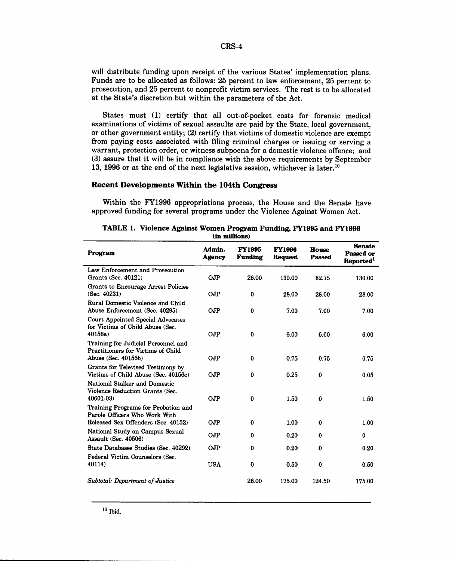### CRS-4

will distribute funding upon receipt of the various States' implementation plans. Funds are to be allocated as follows: 25 percent to law enforcement, 25 percent to prosecution, and 25 percent to nonprofit victim services. The rest is to be allocated at the State's discretion but within the parameters of the Act.

States must (1) certify that all out-of-pocket costs for forensic medical examinations of victims of sexual assaults are paid by the State, local government, or other government entity; (2) certify that victims of domestic violence are exempt from paying costs associated with filing criminal charges or issuing or serving a warrant, protection order, or witness subpoena for a domestic violence offence; and (3) assure that it will be in compliance with the above requirements by September 13, 1996 or at the end of the next legislative session, whichever is later.<sup>10</sup>

## **Recent Developments Within the 104th Congress**

Within the FY1996 appropriations process, the House and the Senate have approved funding for several programs under the Violence Against Women Act.

| Program                                                                                                     | Admin.<br><b>Agency</b> | <b>FY1995</b><br>Funding | <b>FY1996</b><br><b>Request</b> | House<br><b>Passed</b>  | <b>Senate</b><br>Passed or<br>Reported <sup>1</sup> |
|-------------------------------------------------------------------------------------------------------------|-------------------------|--------------------------|---------------------------------|-------------------------|-----------------------------------------------------|
| Law Enforcement and Prosecution<br>Grants (Sec. 40121)                                                      | OJP                     | 26.00                    | 130.00                          | 82.75                   | 130.00                                              |
| Grants to Encourage Arrest Policies<br>(Sec. 40231)                                                         | <b>OJP</b>              | $\bf{0}$                 | 28.00                           | 28.00                   | 28.00                                               |
| Rural Domestic Violence and Child<br>Abuse Enforcement (Sec. 40295)                                         | OJP                     | $\bf{0}$                 | 7.00                            | 7.00                    | 7.00                                                |
| <b>Court Appointed Special Advocates</b><br>for Victims of Child Abuse (Sec.<br>40156a                      | <b>OJP</b>              | $\bf{0}$                 | 6.00                            | 6.00                    | 6.00                                                |
| Training for Judicial Personnel and<br><b>Practitioners for Victims of Child</b><br>Abuse (Sec. 40156b)     | OJP                     | $\bf{0}$                 | 0.75                            | 0.75                    | 0.75                                                |
| Grants for Televised Testimony by<br>Victims of Child Abuse (Sec. 40156c)                                   | <b>OJP</b>              | $\bf{0}$                 | 0.25                            | $\bf{0}$                | 0.05                                                |
| National Stalker and Domestic<br>Violence Reduction Grants (Sec.<br>40601-03)                               | OJP                     | $\bf{0}$                 | 1.50                            | $\bf{0}$                | 1.50                                                |
| Training Programs for Probation and<br>Parole Officers Who Work With<br>Released Sex Offenders (Sec. 40152) |                         |                          |                                 |                         |                                                     |
| National Study on Campus Sexual<br>Assault (Sec. 40506)                                                     | <b>OJP</b><br>OJP       | $\bf{0}$<br>$\bf{0}$     | 1.00<br>0.20                    | $\mathbf 0$<br>$\bf{0}$ | 1.00<br>$\bf{0}$                                    |
| State Databases Studies (Sec. 40292)                                                                        | OJP                     | $\bf{0}$                 | 0.20                            | 0                       | 0.20                                                |
| Federal Victim Counselors (Sec.<br>40114)                                                                   | <b>USA</b>              | $\bf{0}$                 | 0.50                            | 0                       | 0.50                                                |
| Subtotal: Department of Justice                                                                             |                         | 26.00                    | 175.00                          | 124.50                  | 175.00                                              |

### **TABLE 1. Violence Against Women Program Funding, FY1995 and FY1996 (in millions)**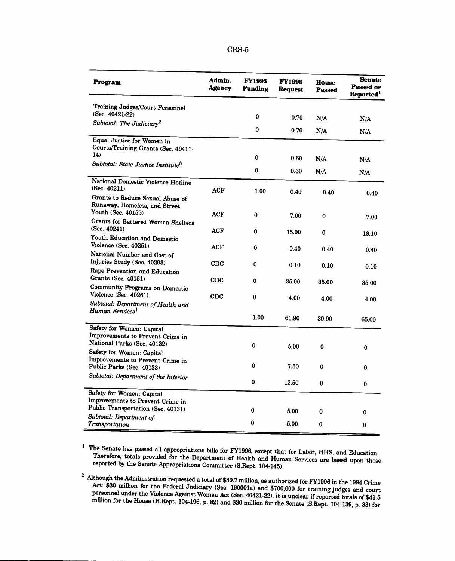| זר<br>נו ו<br>. .<br>. . |
|--------------------------|
|--------------------------|

| Program                                                                                    | Admin.<br><b>Agency</b> | <b>FY1995</b><br><b>Funding</b> | <b>FY1996</b><br>Request | <b>House</b><br><b>Passed</b> | <b>Senate</b><br>Passed or<br>Reported <sup>1</sup> |
|--------------------------------------------------------------------------------------------|-------------------------|---------------------------------|--------------------------|-------------------------------|-----------------------------------------------------|
| <b>Training Judges/Court Personnel</b><br>(Sec. 40421-22)                                  |                         | 0                               | 0.70                     |                               |                                                     |
| Subtotal: The Judiciary <sup>2</sup>                                                       |                         | $\bf{0}$                        | 0.70                     | N/A<br>N/A                    | N/A<br>N/A                                          |
| Equal Justice for Women in<br>Courts/Training Grants (Sec. 40411-                          |                         |                                 |                          |                               |                                                     |
| 14)<br>Subtotal: State Justice Institute <sup>3</sup>                                      |                         | 0                               | 0.60                     | N/A                           | N/A                                                 |
|                                                                                            |                         | $\bf{0}$                        | 0.60                     | N/A                           | N/A                                                 |
| National Domestic Violence Hotline<br>(Sec. $40211$ )                                      | ACF                     | 1.00                            | 0.40                     | 0.40                          | 0.40                                                |
| Grants to Reduce Sexual Abuse of<br>Runaway, Homeless, and Street<br>Youth (Sec. 40155)    | ACF                     | $\bf{0}$                        |                          |                               |                                                     |
| <b>Grants for Battered Women Shelters</b><br>(Sec. 40241)                                  | <b>ACF</b>              | 0                               | 7.00<br>15.00            | 0<br>0                        | 7.00                                                |
| Youth Education and Domestic<br>Violence (Sec. 40251)                                      | ACF                     | $\bf{0}$                        | 0.40                     | 0.40                          | 18.10<br>0.40                                       |
| National Number and Cost of<br>Injuries Study (Sec. 40293)                                 | $_{\rm CDC}$            | 0                               | 0.10                     | 0.10                          | 0.10                                                |
| Rape Prevention and Education<br>Grants (Sec. 40151)                                       | $_{\rm CDC}$            | $\bf{0}$                        | 35.00                    | 35.00                         | 35.00                                               |
| <b>Community Programs on Domestic</b><br>Violence (Sec. 40261)                             | $_{\rm CDC}$            | 0                               | 4.00                     | 4.00                          | 4.00                                                |
| Subtotal: Department of Health and<br>Human Services <sup>1</sup>                          |                         | 1.00                            | 61.90                    |                               |                                                     |
| Safety for Women: Capital                                                                  |                         |                                 |                          | 39.90                         | 65.00                                               |
| Improvements to Prevent Crime in<br>National Parks (Sec. 40132)                            |                         | 0                               | 5.00                     | 0                             | 0                                                   |
| Safety for Women: Capital<br>Improvements to Prevent Crime in<br>Public Parks (Sec. 40133) |                         | $\bf{0}$                        | 7.50                     | $\bf{0}$                      | 0                                                   |
| Subtotal: Department of the Interior                                                       |                         | $\bf{0}$                        | 12.50                    | $\bf{0}$                      | 0                                                   |
| Safety for Women: Capital<br>Improvements to Prevent Crime in                              |                         |                                 |                          |                               |                                                     |
| Public Transportation (Sec. 40131)                                                         |                         | 0                               | 5.00                     | $\bf{0}$                      | 0                                                   |
| Subtotal: Department of<br>Transportation                                                  |                         | 0                               | 5.00                     | $\mathbf{0}$                  | 0                                                   |

<sup>1</sup> The Senate has passed all appropriations bills for FY1996, except that for Labor, HHS, and Education. Therefore, totals provided for the Department of Health and Human Services are based upon those reported by the Sen

 $\blacksquare$ 

<sup>2</sup> Although the Administration requested a total of \$30.7 million, as authorized for FY1996 in the 1994 Crime Act: \$30 million for the Federal Judiciary (Sec. 190001a) and \$700,000 for training judges and court personnel under the Violence Against Women Act (Sec. 40421-22), it is unclear if reported totals of \$41.5<br>million for the House (H.Rept. 104-196, p. 82) and \$30 million for the Senate (S.Rept. 104-139, p. 83) for